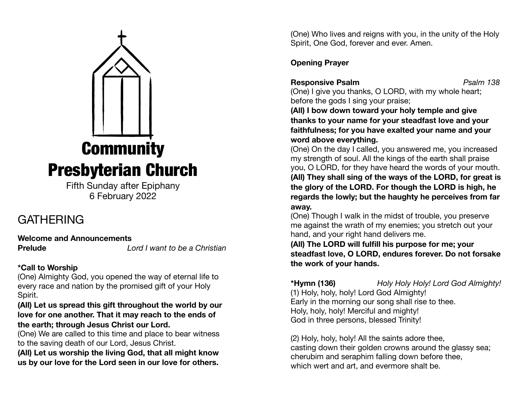# **Community** Presbyterian Church

Fifth Sunday after Epiphany 6 February 2022

# GATHERING

**Welcome and Announcements** 

**Prelude** *Lord I want to be a Christian*

## **\*Call to Worship**

(One) Almighty God, you opened the way of eternal life to every race and nation by the promised gift of your Holy Spirit.

## **(All) Let us spread this gift throughout the world by our love for one another. That it may reach to the ends of the earth; through Jesus Christ our Lord.**

(One) We are called to this time and place to bear witness to the saving death of our Lord, Jesus Christ.

**(All) Let us worship the living God, that all might know us by our love for the Lord seen in our love for others.** 

(One) Who lives and reigns with you, in the unity of the Holy Spirit, One God, forever and ever. Amen.

## **Opening Prayer**

**Responsive Psalm** *Psalm 138* 

(One) I give you thanks, O LORD, with my whole heart; before the gods I sing your praise;

**(All) I bow down toward your holy temple and give thanks to your name for your steadfast love and your faithfulness; for you have exalted your name and your word above everything.**

(One) On the day I called, you answered me, you increased my strength of soul. All the kings of the earth shall praise you, O LORD, for they have heard the words of your mouth.

**(All) They shall sing of the ways of the LORD, for great is the glory of the LORD. For though the LORD is high, he regards the lowly; but the haughty he perceives from far away.**

(One) Though I walk in the midst of trouble, you preserve me against the wrath of my enemies; you stretch out your hand, and your right hand delivers me.

**(All) The LORD will fulfill his purpose for me; your steadfast love, O LORD, endures forever. Do not forsake the work of your hands.**

**\*Hymn (136)** *Holy Holy Holy! Lord God Almighty!*  (1) Holy, holy, holy! Lord God Almighty! Early in the morning our song shall rise to thee. Holy, holy, holy! Merciful and mighty! God in three persons, blessed Trinity!

(2) Holy, holy, holy! All the saints adore thee, casting down their golden crowns around the glassy sea; cherubim and seraphim falling down before thee, which wert and art, and evermore shalt be.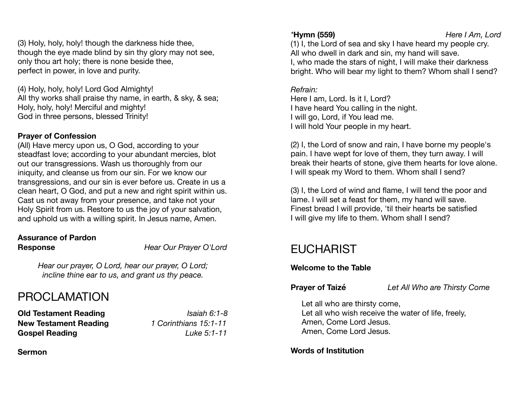(3) Holy, holy, holy! though the darkness hide thee, though the eye made blind by sin thy glory may not see, only thou art holy; there is none beside thee, perfect in power, in love and purity.

(4) Holy, holy, holy! Lord God Almighty! All thy works shall praise thy name, in earth, & sky, & sea; Holy, holy, holy! Merciful and mighty! God in three persons, blessed Trinity!

## **Prayer of Confession**

(All) Have mercy upon us, O God, according to your steadfast love; according to your abundant mercies, blot out our transgressions. Wash us thoroughly from our iniquity, and cleanse us from our sin. For we know our transgressions, and our sin is ever before us. Create in us a clean heart, O God, and put a new and right spirit within us. Cast us not away from your presence, and take not your Holy Spirit from us. Restore to us the joy of your salvation, and uphold us with a willing spirit. In Jesus name, Amen.

## **Assurance of Pardon Response** *Hear Our Prayer O'Lord*

*Hear our prayer, O Lord, hear our prayer, O Lord; incline thine ear to us, and grant us thy peace.* 

# PROCLAMATION

**Old Testament Reading** *Isaiah 6:1-8* **New Testament Reading** *1 Corinthians 15:1-11*  **Gospel Reading** *Luke 5:1-11* 

**Sermon** 

(1) I, the Lord of sea and sky I have heard my people cry. All who dwell in dark and sin, my hand will save. I, who made the stars of night, I will make their darkness bright. Who will bear my light to them? Whom shall I send?

## *Refrain:*

Here I am, Lord. Is it I, Lord? I have heard You calling in the night. I will go, Lord, if You lead me. I will hold Your people in my heart.

(2) I, the Lord of snow and rain, I have borne my people's pain. I have wept for love of them, they turn away. I will break their hearts of stone, give them hearts for love alone. I will speak my Word to them. Whom shall I send?

(3) I, the Lord of wind and flame, I will tend the poor and lame. I will set a feast for them, my hand will save. Finest bread I will provide, 'til their hearts be satisfied I will give my life to them. Whom shall I send?

# EUCHARIST

## **Welcome to the Table**

**Prayer of Taizé** *Let All Who are Thirsty Come* 

Let all who are thirsty come, Let all who wish receive the water of life, freely, Amen, Come Lord Jesus. Amen, Come Lord Jesus.

## **Words of Institution**

*\****Hymn (559)** *Here I Am, Lord*